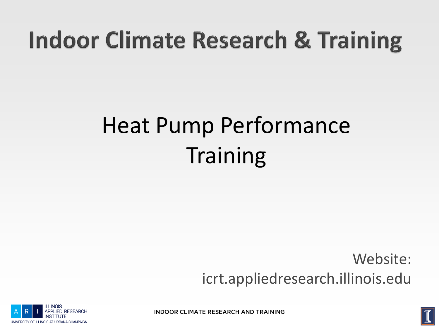## **Indoor Climate Research & Training**

## Heat Pump Performance **Training**

Website: icrt.appliedresearch.illinois.edu



**INDOOR CLIMATE RESEARCH AND TRAINING** 

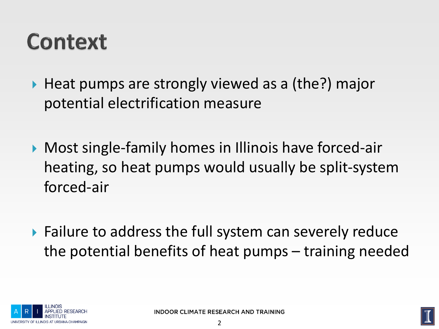#### Context

- $\triangleright$  Heat pumps are strongly viewed as a (the?) major potential electrification measure
- ▶ Most single-family homes in Illinois have forced-air heating, so heat pumps would usually be split-system forced-air
- ▶ Failure to address the full system can severely reduce the potential benefits of heat pumps – training needed



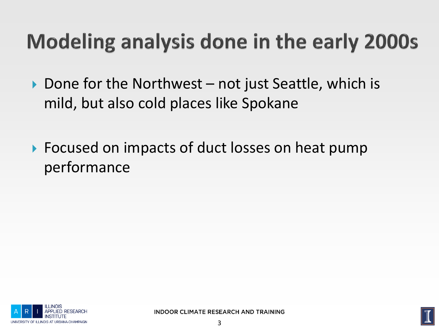#### **Modeling analysis done in the early 2000s**

- $\triangleright$  Done for the Northwest not just Seattle, which is mild, but also cold places like Spokane
- ▶ Focused on impacts of duct losses on heat pump performance



**INDOOR CLIMATE RESEARCH AND TRAINING** 

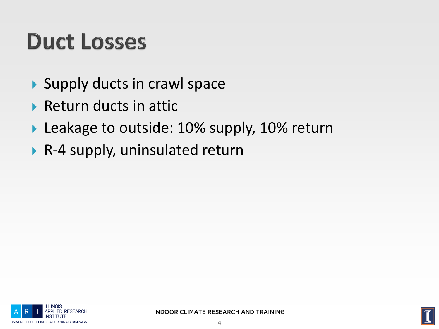#### **Duct Losses**

- Supply ducts in crawl space
- $\triangleright$  Return ducts in attic
- Leakage to outside: 10% supply, 10% return
- ▶ R-4 supply, uninsulated return



**INDOOR CLIMATE RESEARCH AND TRAINING** 

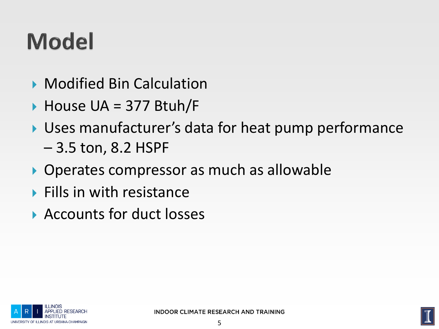# **Model**

- Modified Bin Calculation
- ▶ House UA = 377 Btuh/F
- Uses manufacturer's data for heat pump performance
	- 3.5 ton, 8.2 HSPF
- ▶ Operates compressor as much as allowable
- $\blacktriangleright$  Fills in with resistance
- ▶ Accounts for duct losses



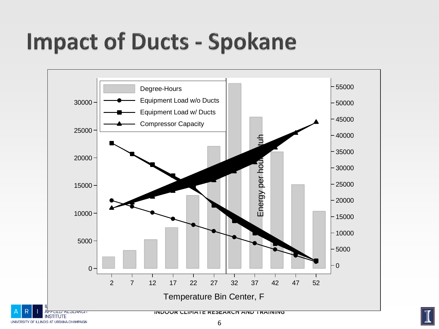## **Impact of Ducts - Spokane**



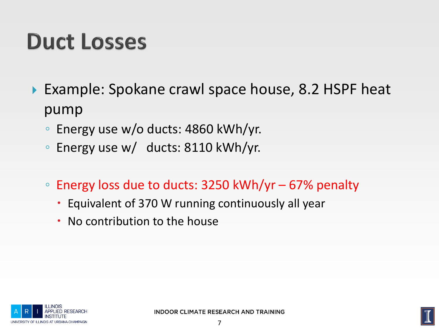#### **Duct Losses**

- ▶ Example: Spokane crawl space house, 8.2 HSPF heat pump
	- Energy use w/o ducts: 4860 kWh/yr.
	- Energy use w/ ducts: 8110 kWh/yr.
	- Energy loss due to ducts: 3250 kWh/yr 67% penalty
		- Equivalent of 370 W running continuously all year
		- No contribution to the house